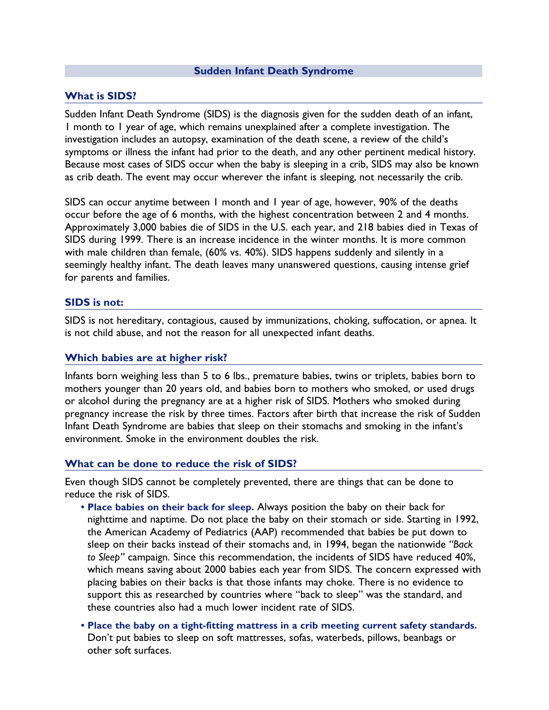#### **Sudden Infant Death Syndrome**

#### **What is SIDS?**

Sudden Infant Death Syndrome (SIDS) is the diagnosis given for the sudden death of an infant, 1 month to 1 year of age, which remains unexplained after a complete investigation. The investigation includes an autopsy, examination of the death scene, a review of the child's symptoms or illness the infant had prior to the death, and any other pertinent medical history. Because most cases of SIDS occur when the baby is sleeping in a crib, SIDS may also be known as crib death. The event may occur wherever the infant is sleeping, not necessarily the crib.

SIDS can occur anytime between 1 month and 1 year of age, however, 90% of the deaths occur before the age of 6 months, with the highest concentration between 2 and 4 months. Approximately 3,000 babies die of SIDS in the U.S. each year, and 218 babies died in Texas of SIDS during 1999. There is an increase incidence in the winter months. It is more common with male children than female, (60% vs. 40%). SIDS happens suddenly and silently in a seemingly healthy infant. The death leaves many unanswered questions, causing intense grief for parents and families.

#### **SIDS is not:**

SIDS is not hereditary, contagious, caused by immunizations, choking, suffocation, or apnea. It is not child abuse, and not the reason for all unexpected infant deaths.

#### **Which babies are at higher risk?**

Infants born weighing less than 5 to 6 lbs., premature babies, twins or triplets, babies born to mothers younger than 20 years old, and babies born to mothers who smoked, or used drugs or alcohol during the pregnancy are at a higher risk of SIDS. Mothers who smoked during pregnancy increase the risk by three times. Factors after birth that increase the risk of Sudden Infant Death Syndrome are babies that sleep on their stomachs and smoking in the infant's environment. Smoke in the environment doubles the risk.

#### **What can be done to reduce the risk of SIDS?**

Even though SIDS cannot be completely prevented, there are things that can be done to reduce the risk of SIDS.

- **• Place babies on their back for sleep.** Always position the baby on their back for nighttime and naptime. Do not place the baby on their stomach or side. Starting in 1992, the American Academy of Pediatrics (AAP) recommended that babies be put down to sleep on their backs instead of their stomachs and, in 1994, began the nationwide *"Back to Sleep"* campaign. Since this recommendation, the incidents of SIDS have reduced 40%, which means saving about 2000 babies each year from SIDS. The concern expressed with placing babies on their backs is that those infants may choke. There is no evidence to support this as researched by countries where "back to sleep" was the standard, and these countries also had a much lower incident rate of SIDS.
- **• Place the baby on a tight-fitting mattress in a crib meeting current safety standards.** Don't put babies to sleep on soft mattresses, sofas, waterbeds, pillows, beanbags or other soft surfaces.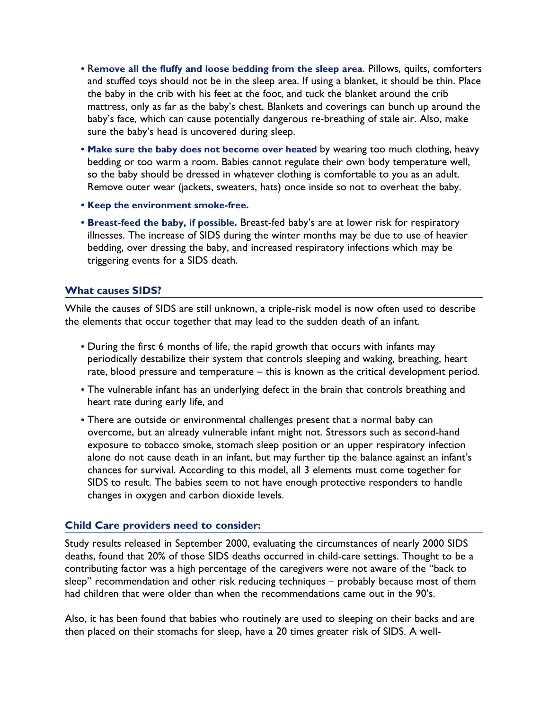- **•** R**emove all the fluffy and loose bedding from the sleep area**. Pillows, quilts, comforters and stuffed toys should not be in the sleep area. If using a blanket, it should be thin. Place the baby in the crib with his feet at the foot, and tuck the blanket around the crib mattress, only as far as the baby's chest. Blankets and coverings can bunch up around the baby's face, which can cause potentially dangerous re-breathing of stale air. Also, make sure the baby's head is uncovered during sleep.
- **Make sure the baby does not become over heated** by wearing too much clothing, heavy bedding or too warm a room. Babies cannot regulate their own body temperature well, so the baby should be dressed in whatever clothing is comfortable to you as an adult. Remove outer wear (jackets, sweaters, hats) once inside so not to overheat the baby.
- **• Keep the environment smoke-free.**
- **• Breast-feed the baby, if possible.** Breast-fed baby's are at lower risk for respiratory illnesses. The increase of SIDS during the winter months may be due to use of heavier bedding, over dressing the baby, and increased respiratory infections which may be triggering events for a SIDS death.

## **What causes SIDS?**

While the causes of SIDS are still unknown, a triple-risk model is now often used to describe the elements that occur together that may lead to the sudden death of an infant.

- **•** During the first 6 months of life, the rapid growth that occurs with infants may periodically destabilize their system that controls sleeping and waking, breathing, heart rate, blood pressure and temperature – this is known as the critical development period.
- **•** The vulnerable infant has an underlying defect in the brain that controls breathing and heart rate during early life, and
- **•** There are outside or environmental challenges present that a normal baby can overcome, but an already vulnerable infant might not. Stressors such as second-hand exposure to tobacco smoke, stomach sleep position or an upper respiratory infection alone do not cause death in an infant, but may further tip the balance against an infant's chances for survival. According to this model, all 3 elements must come together for SIDS to result. The babies seem to not have enough protective responders to handle changes in oxygen and carbon dioxide levels.

## **Child Care providers need to consider:**

Study results released in September 2000, evaluating the circumstances of nearly 2000 SIDS deaths, found that 20% of those SIDS deaths occurred in child-care settings. Thought to be a contributing factor was a high percentage of the caregivers were not aware of the "back to sleep" recommendation and other risk reducing techniques – probably because most of them had children that were older than when the recommendations came out in the 90's.

Also, it has been found that babies who routinely are used to sleeping on their backs and are then placed on their stomachs for sleep, have a 20 times greater risk of SIDS. A well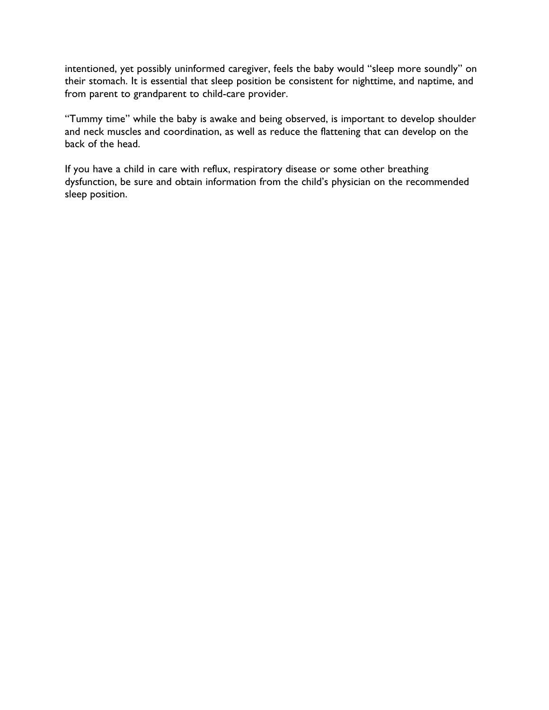intentioned, yet possibly uninformed caregiver, feels the baby would "sleep more soundly" on their stomach. It is essential that sleep position be consistent for nighttime, and naptime, and from parent to grandparent to child-care provider.

"Tummy time" while the baby is awake and being observed, is important to develop shoulder and neck muscles and coordination, as well as reduce the flattening that can develop on the back of the head.

If you have a child in care with reflux, respiratory disease or some other breathing dysfunction, be sure and obtain information from the child's physician on the recommended sleep position.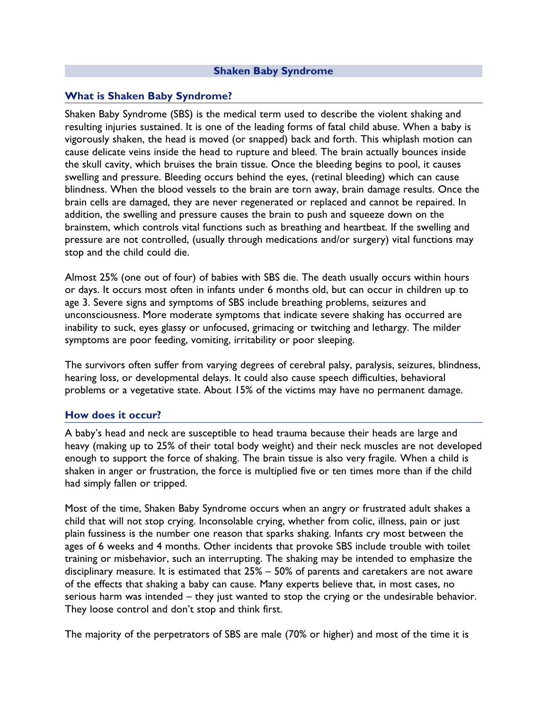### **Shaken Baby Syndrome**

## **What is Shaken Baby Syndrome?**

Shaken Baby Syndrome (SBS) is the medical term used to describe the violent shaking and resulting injuries sustained. It is one of the leading forms of fatal child abuse. When a baby is vigorously shaken, the head is moved (or snapped) back and forth. This whiplash motion can cause delicate veins inside the head to rupture and bleed. The brain actually bounces inside the skull cavity, which bruises the brain tissue. Once the bleeding begins to pool, it causes swelling and pressure. Bleeding occurs behind the eyes, (retinal bleeding) which can cause blindness. When the blood vessels to the brain are torn away, brain damage results. Once the brain cells are damaged, they are never regenerated or replaced and cannot be repaired. In addition, the swelling and pressure causes the brain to push and squeeze down on the brainstem, which controls vital functions such as breathing and heartbeat. If the swelling and pressure are not controlled, (usually through medications and/or surgery) vital functions may stop and the child could die.

Almost 25% (one out of four) of babies with SBS die. The death usually occurs within hours or days. It occurs most often in infants under 6 months old, but can occur in children up to age 3. Severe signs and symptoms of SBS include breathing problems, seizures and unconsciousness. More moderate symptoms that indicate severe shaking has occurred are inability to suck, eyes glassy or unfocused, grimacing or twitching and lethargy. The milder symptoms are poor feeding, vomiting, irritability or poor sleeping.

The survivors often suffer from varying degrees of cerebral palsy, paralysis, seizures, blindness, hearing loss, or developmental delays. It could also cause speech difficulties, behavioral problems or a vegetative state. About 15% of the victims may have no permanent damage.

## **How does it occur?**

A baby's head and neck are susceptible to head trauma because their heads are large and heavy (making up to 25% of their total body weight) and their neck muscles are not developed enough to support the force of shaking. The brain tissue is also very fragile. When a child is shaken in anger or frustration, the force is multiplied five or ten times more than if the child had simply fallen or tripped.

Most of the time, Shaken Baby Syndrome occurs when an angry or frustrated adult shakes a child that will not stop crying. Inconsolable crying, whether from colic, illness, pain or just plain fussiness is the number one reason that sparks shaking. Infants cry most between the ages of 6 weeks and 4 months. Other incidents that provoke SBS include trouble with toilet training or misbehavior, such an interrupting. The shaking may be intended to emphasize the disciplinary measure. It is estimated that 25% – 50% of parents and caretakers are not aware of the effects that shaking a baby can cause. Many experts believe that, in most cases, no serious harm was intended – they just wanted to stop the crying or the undesirable behavior. They loose control and don't stop and think first.

The majority of the perpetrators of SBS are male (70% or higher) and most of the time it is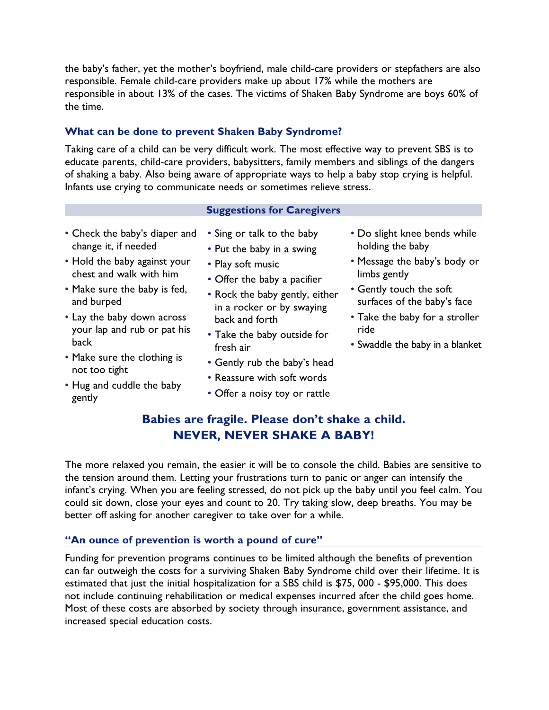the baby's father, yet the mother's boyfriend, male child-care providers or stepfathers are also responsible. Female child-care providers make up about 17% while the mothers are responsible in about 13% of the cases. The victims of Shaken Baby Syndrome are boys 60% of the time.

# **What can be done to prevent Shaken Baby Syndrome?**

Taking care of a child can be very difficult work. The most effective way to prevent SBS is to educate parents, child-care providers, babysitters, family members and siblings of the dangers of shaking a baby. Also being aware of appropriate ways to help a baby stop crying is helpful. Infants use crying to communicate needs or sometimes relieve stress.

## **Suggestions for Caregivers**

- Check the baby's diaper and change it, if needed
- Hold the baby against your chest and walk with him
- Make sure the baby is fed, and burped
- Lay the baby down across your lap and rub or pat his back
- Make sure the clothing is not too tight
- Hug and cuddle the baby gently
- Sing or talk to the baby
- Put the baby in a swing
- Play soft music
- Offer the baby a pacifier
- Rock the baby gently, either in a rocker or by swaying back and forth
- Take the baby outside for fresh air
- Gently rub the baby's head
- Reassure with soft words
- Offer a noisy toy or rattle
- Do slight knee bends while holding the baby
- Message the baby's body or limbs gently
- Gently touch the soft surfaces of the baby's face
- Take the baby for a stroller ride
- Swaddle the baby in a blanket

# **Babies are fragile. Please don't shake a child. NEVER, NEVER SHAKE A BABY!**

The more relaxed you remain, the easier it will be to console the child. Babies are sensitive to the tension around them. Letting your frustrations turn to panic or anger can intensify the infant's crying. When you are feeling stressed, do not pick up the baby until you feel calm. You could sit down, close your eyes and count to 20. Try taking slow, deep breaths. You may be better off asking for another caregiver to take over for a while.

# **"An ounce of prevention is worth a pound of cure"**

Funding for prevention programs continues to be limited although the benefits of prevention can far outweigh the costs for a surviving Shaken Baby Syndrome child over their lifetime. It is estimated that just the initial hospitalization for a SBS child is \$75, 000 - \$95,000. This does not include continuing rehabilitation or medical expenses incurred after the child goes home. Most of these costs are absorbed by society through insurance, government assistance, and increased special education costs.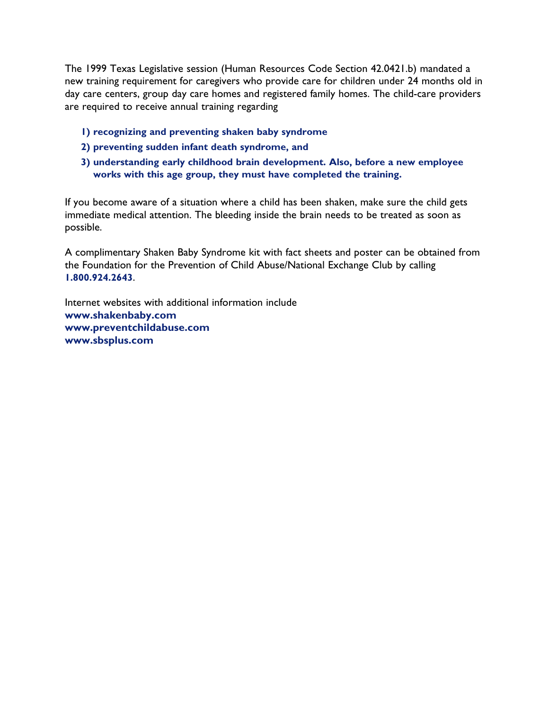The 1999 Texas Legislative session (Human Resources Code Section 42.0421.b) mandated a new training requirement for caregivers who provide care for children under 24 months old in day care centers, group day care homes and registered family homes. The child-care providers are required to receive annual training regarding

- **1) recognizing and preventing shaken baby syndrome**
- **2) preventing sudden infant death syndrome, and**
- **3) understanding early childhood brain development. Also, before a new employee works with this age group, they must have completed the training.**

If you become aware of a situation where a child has been shaken, make sure the child gets immediate medical attention. The bleeding inside the brain needs to be treated as soon as possible.

A complimentary Shaken Baby Syndrome kit with fact sheets and poster can be obtained from the Foundation for the Prevention of Child Abuse/National Exchange Club by calling **1.800.924.2643**.

Internet websites with additional information include **www.shakenbaby.com www.preventchildabuse.com www.sbsplus.com**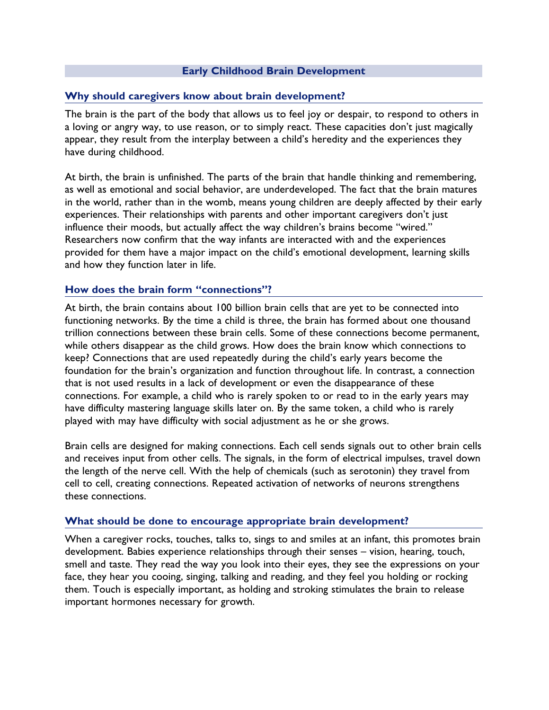## **Early Childhood Brain Development**

## **Why should caregivers know about brain development?**

The brain is the part of the body that allows us to feel joy or despair, to respond to others in a loving or angry way, to use reason, or to simply react. These capacities don't just magically appear, they result from the interplay between a child's heredity and the experiences they have during childhood.

At birth, the brain is unfinished. The parts of the brain that handle thinking and remembering, as well as emotional and social behavior, are underdeveloped. The fact that the brain matures in the world, rather than in the womb, means young children are deeply affected by their early experiences. Their relationships with parents and other important caregivers don't just influence their moods, but actually affect the way children's brains become "wired." Researchers now confirm that the way infants are interacted with and the experiences provided for them have a major impact on the child's emotional development, learning skills and how they function later in life.

## **How does the brain form "connections"?**

At birth, the brain contains about 100 billion brain cells that are yet to be connected into functioning networks. By the time a child is three, the brain has formed about one thousand trillion connections between these brain cells. Some of these connections become permanent, while others disappear as the child grows. How does the brain know which connections to keep? Connections that are used repeatedly during the child's early years become the foundation for the brain's organization and function throughout life. In contrast, a connection that is not used results in a lack of development or even the disappearance of these connections. For example, a child who is rarely spoken to or read to in the early years may have difficulty mastering language skills later on. By the same token, a child who is rarely played with may have difficulty with social adjustment as he or she grows.

Brain cells are designed for making connections. Each cell sends signals out to other brain cells and receives input from other cells. The signals, in the form of electrical impulses, travel down the length of the nerve cell. With the help of chemicals (such as serotonin) they travel from cell to cell, creating connections. Repeated activation of networks of neurons strengthens these connections.

## **What should be done to encourage appropriate brain development?**

When a caregiver rocks, touches, talks to, sings to and smiles at an infant, this promotes brain development. Babies experience relationships through their senses – vision, hearing, touch, smell and taste. They read the way you look into their eyes, they see the expressions on your face, they hear you cooing, singing, talking and reading, and they feel you holding or rocking them. Touch is especially important, as holding and stroking stimulates the brain to release important hormones necessary for growth.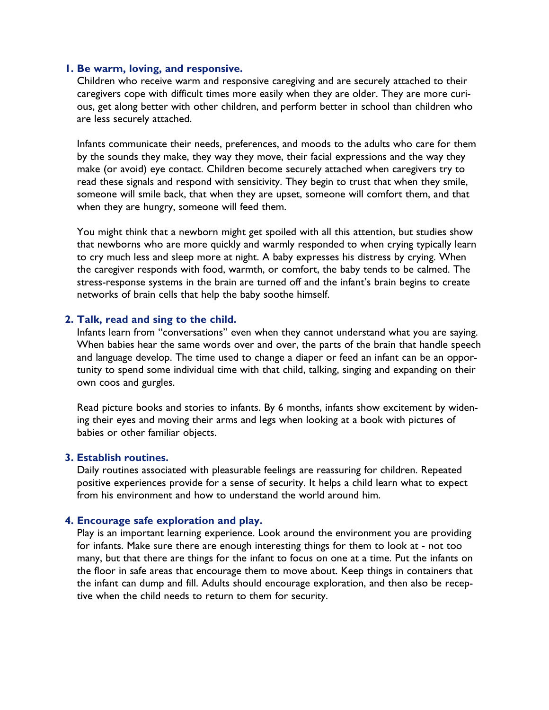#### **1. Be warm, loving, and responsive.**

Children who receive warm and responsive caregiving and are securely attached to their caregivers cope with difficult times more easily when they are older. They are more curious, get along better with other children, and perform better in school than children who are less securely attached.

Infants communicate their needs, preferences, and moods to the adults who care for them by the sounds they make, they way they move, their facial expressions and the way they make (or avoid) eye contact. Children become securely attached when caregivers try to read these signals and respond with sensitivity. They begin to trust that when they smile, someone will smile back, that when they are upset, someone will comfort them, and that when they are hungry, someone will feed them.

You might think that a newborn might get spoiled with all this attention, but studies show that newborns who are more quickly and warmly responded to when crying typically learn to cry much less and sleep more at night. A baby expresses his distress by crying. When the caregiver responds with food, warmth, or comfort, the baby tends to be calmed. The stress-response systems in the brain are turned off and the infant's brain begins to create networks of brain cells that help the baby soothe himself.

#### **2. Talk, read and sing to the child.**

Infants learn from "conversations" even when they cannot understand what you are saying. When babies hear the same words over and over, the parts of the brain that handle speech and language develop. The time used to change a diaper or feed an infant can be an opportunity to spend some individual time with that child, talking, singing and expanding on their own coos and gurgles.

Read picture books and stories to infants. By 6 months, infants show excitement by widening their eyes and moving their arms and legs when looking at a book with pictures of babies or other familiar objects.

#### **3. Establish routines.**

Daily routines associated with pleasurable feelings are reassuring for children. Repeated positive experiences provide for a sense of security. It helps a child learn what to expect from his environment and how to understand the world around him.

#### **4. Encourage safe exploration and play.**

Play is an important learning experience. Look around the environment you are providing for infants. Make sure there are enough interesting things for them to look at - not too many, but that there are things for the infant to focus on one at a time. Put the infants on the floor in safe areas that encourage them to move about. Keep things in containers that the infant can dump and fill. Adults should encourage exploration, and then also be receptive when the child needs to return to them for security.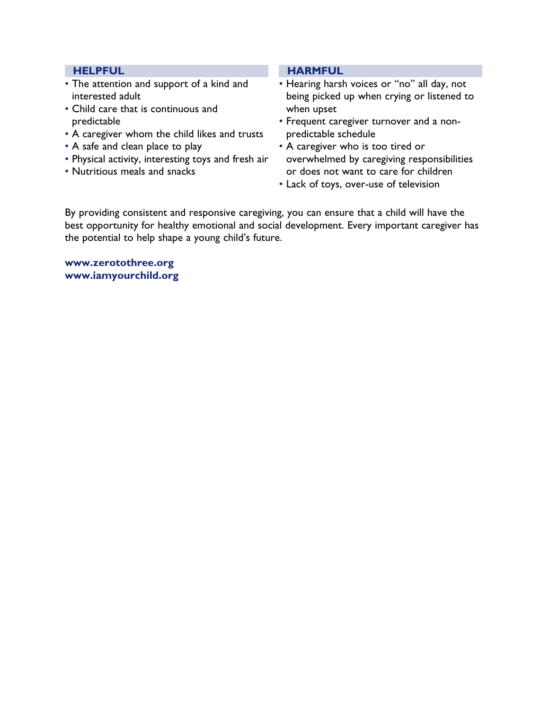### **HELPFUL**

- The attention and support of a kind and interested adult
- Child care that is continuous and predictable
- A caregiver whom the child likes and trusts
- A safe and clean place to play
- Physical activity, interesting toys and fresh air
- Nutritious meals and snacks

#### **HARMFUL**

- Hearing harsh voices or "no" all day, not being picked up when crying or listened to when upset
- Frequent caregiver turnover and a nonpredictable schedule
- A caregiver who is too tired or overwhelmed by caregiving responsibilities or does not want to care for children
- Lack of toys, over-use of television

By providing consistent and responsive caregiving, you can ensure that a child will have the best opportunity for healthy emotional and social development. Every important caregiver has the potential to help shape a young child's future.

**www.zerotothree.org www.iamyourchild.org**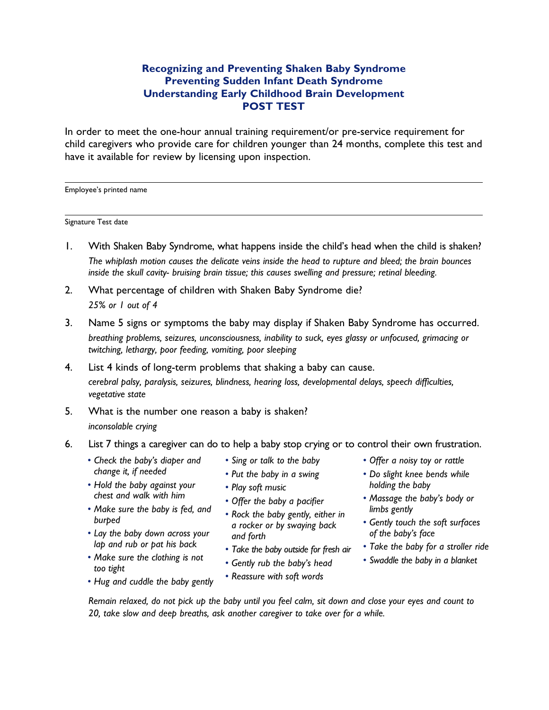# **Recognizing and Preventing Shaken Baby Syndrome Preventing Sudden Infant Death Syndrome Understanding Early Childhood Brain Development POST TEST**

In order to meet the one-hour annual training requirement/or pre-service requirement for child caregivers who provide care for children younger than 24 months, complete this test and have it available for review by licensing upon inspection.

Employee's printed name

Signature Test date

- 1. With Shaken Baby Syndrome, what happens inside the child's head when the child is shaken? *The whiplash motion causes the delicate veins inside the head to rupture and bleed; the brain bounces inside the skull cavity- bruising brain tissue; this causes swelling and pressure; retinal bleeding.*
- 2. What percentage of children with Shaken Baby Syndrome die? *25% or 1 out of 4*
- 3. Name 5 signs or symptoms the baby may display if Shaken Baby Syndrome has occurred. *breathing problems, seizures, unconsciousness, inability to suck, eyes glassy or unfocused, grimacing or twitching, lethargy, poor feeding, vomiting, poor sleeping*
- 4. List 4 kinds of long-term problems that shaking a baby can cause. *cerebral palsy, paralysis, seizures, blindness, hearing loss, developmental delays, speech difficulties, vegetative state*
- 5. What is the number one reason a baby is shaken? *inconsolable crying*
- 6. List 7 things a caregiver can do to help a baby stop crying or to control their own frustration. *• Sing or talk to the baby*
	- *• Check the baby's diaper and change it, if needed*
	- *• Hold the baby against your chest and walk with him*
	- *• Make sure the baby is fed, and burped*
	- *• Lay the baby down across your lap and rub or pat his back*
	- *• Make sure the clothing is not too tight*

*• Hug and cuddle the baby gently*

- 
- *• Put the baby in a swing*
- *• Play soft music*
- *• Offer the baby a pacifier*
- *• Rock the baby gently, either in a rocker or by swaying back and forth*
- *• Take the baby outside for fresh air*
	- *• Gently rub the baby's head*
	- *• Reassure with soft words*
- *• Offer a noisy toy or rattle*
- *• Do slight knee bends while holding the baby*
- *• Massage the baby's body or limbs gently*
- *• Gently touch the soft surfaces of the baby's face*
- *• Take the baby for a stroller ride*
- *• Swaddle the baby in a blanket*
- *Remain relaxed, do not pick up the baby until you feel calm, sit down and close your eyes and count to 20, take slow and deep breaths, ask another caregiver to take over for a while.*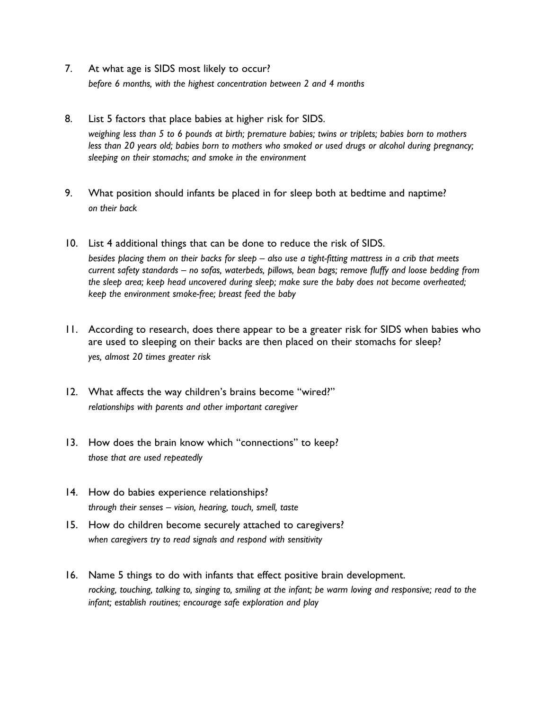- 7. At what age is SIDS most likely to occur? *before 6 months, with the highest concentration between 2 and 4 months*
- 8. List 5 factors that place babies at higher risk for SIDS. *weighing less than 5 to 6 pounds at birth; premature babies; twins or triplets; babies born to mothers less than 20 years old; babies born to mothers who smoked or used drugs or alcohol during pregnancy; sleeping on their stomachs; and smoke in the environment*
- 9. What position should infants be placed in for sleep both at bedtime and naptime? *on their back*
- 10. List 4 additional things that can be done to reduce the risk of SIDS. *besides placing them on their backs for sleep – also use a tight-fitting mattress in a crib that meets current safety standards – no sofas, waterbeds, pillows, bean bags; remove fluffy and loose bedding from the sleep area; keep head uncovered during sleep; make sure the baby does not become overheated; keep the environment smoke-free; breast feed the baby*
- 11. According to research, does there appear to be a greater risk for SIDS when babies who are used to sleeping on their backs are then placed on their stomachs for sleep? *yes, almost 20 times greater risk*
- 12. What affects the way children's brains become "wired?" *relationships with parents and other important caregiver*
- 13. How does the brain know which "connections" to keep? *those that are used repeatedly*
- 14. How do babies experience relationships? *through their senses – vision, hearing, touch, smell, taste*
- 15. How do children become securely attached to caregivers? *when caregivers try to read signals and respond with sensitivity*
- 16. Name 5 things to do with infants that effect positive brain development. *rocking, touching, talking to, singing to, smiling at the infant; be warm loving and responsive; read to the infant; establish routines; encourage safe exploration and play*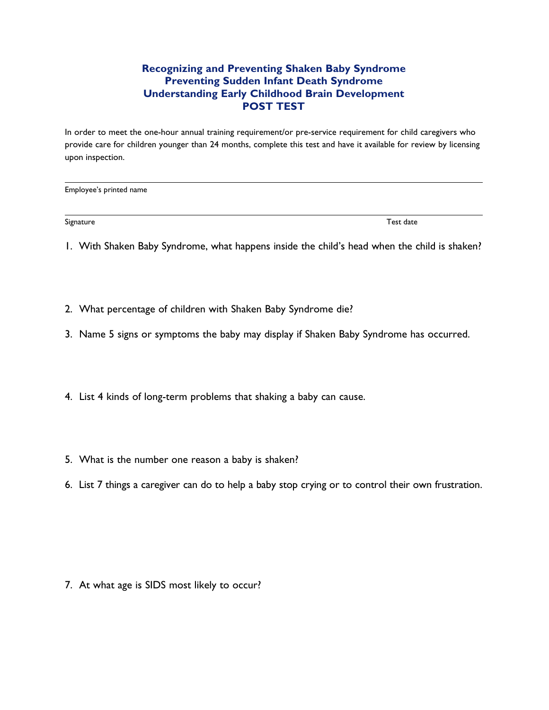# **Recognizing and Preventing Shaken Baby Syndrome Preventing Sudden Infant Death Syndrome Understanding Early Childhood Brain Development POST TEST**

In order to meet the one-hour annual training requirement/or pre-service requirement for child caregivers who provide care for children younger than 24 months, complete this test and have it available for review by licensing upon inspection.

Employee's printed name

Signature Test date

1. With Shaken Baby Syndrome, what happens inside the child's head when the child is shaken?

- 2. What percentage of children with Shaken Baby Syndrome die?
- 3. Name 5 signs or symptoms the baby may display if Shaken Baby Syndrome has occurred.
- 4. List 4 kinds of long-term problems that shaking a baby can cause.
- 5. What is the number one reason a baby is shaken?
- 6. List 7 things a caregiver can do to help a baby stop crying or to control their own frustration.

7. At what age is SIDS most likely to occur?